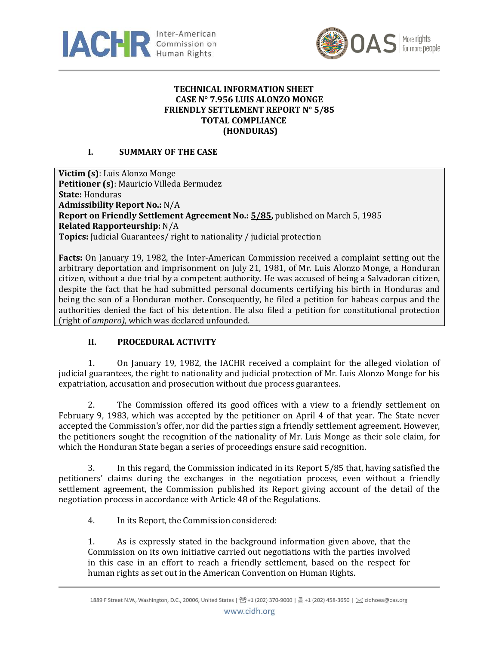



#### **TECHNICAL INFORMATION SHEET CASE N° 7.956 LUIS ALONZO MONGE FRIENDLY SETTLEMENT REPORT N° 5/85 TOTAL COMPLIANCE (HONDURAS)**

# **I. SUMMARY OF THE CASE**

**Victim (s)**: Luis Alonzo Monge **Petitioner (s)**: Mauricio Villeda Bermudez **State:** Honduras **Admissibility Report No.:** N/A **Report on Friendly Settlement Agreement No.[: 5/85,](http://www.cidh.org/annualrep/84.85eng/Honduras7956.htm)** published on March 5, 1985 **Related Rapporteurship:** N/A **Topics:** Judicial Guarantees/ right to nationality / judicial protection

**Facts:** On January 19, 1982, the Inter-American Commission received a complaint setting out the arbitrary deportation and imprisonment on July 21, 1981, of Mr. Luis Alonzo Monge, a Honduran citizen, without a due trial by a competent authority. He was accused of being a Salvadoran citizen, despite the fact that he had submitted personal documents certifying his birth in Honduras and being the son of a Honduran mother. Consequently, he filed a petition for habeas corpus and the authorities denied the fact of his detention. He also filed a petition for constitutional protection (right of *amparo)*, which was declared unfounded.

## **II. PROCEDURAL ACTIVITY**

1. On January 19, 1982, the IACHR received a complaint for the alleged violation of judicial guarantees, the right to nationality and judicial protection of Mr. Luis Alonzo Monge for his expatriation, accusation and prosecution without due process guarantees.

2. The Commission offered its good offices with a view to a friendly settlement on February 9, 1983, which was accepted by the petitioner on April 4 of that year. The State never accepted the Commission's offer, nor did the parties sign a friendly settlement agreement. However, the petitioners sought the recognition of the nationality of Mr. Luis Monge as their sole claim, for which the Honduran State began a series of proceedings ensure said recognition.

3. In this regard, the Commission indicated in its Report 5/85 that, having satisfied the petitioners' claims during the exchanges in the negotiation process, even without a friendly settlement agreement, the Commission published its Report giving account of the detail of the negotiation process in accordance with Article 48 of the Regulations.

4. In its Report, the Commission considered:

1. As is expressly stated in the background information given above, that the Commission on its own initiative carried out negotiations with the parties involved in this case in an effort to reach a friendly settlement, based on the respect for human rights as set out in the American Convention on Human Rights.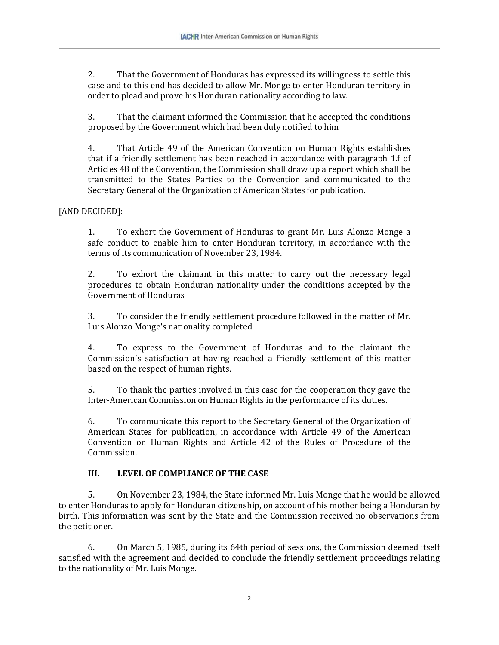2. That the Government of Honduras has expressed its willingness to settle this case and to this end has decided to allow Mr. Monge to enter Honduran territory in order to plead and prove his Honduran nationality according to law.

3. That the claimant informed the Commission that he accepted the conditions proposed by the Government which had been duly notified to him

4. That Article 49 of the American Convention on Human Rights establishes that if a friendly settlement has been reached in accordance with paragraph 1.f of Articles 48 of the Convention, the Commission shall draw up a report which shall be transmitted to the States Parties to the Convention and communicated to the Secretary General of the Organization of American States for publication.

## [AND DECIDED]:

1. To exhort the Government of Honduras to grant Mr. Luis Alonzo Monge a safe conduct to enable him to enter Honduran territory, in accordance with the terms of its communication of November 23, 1984.

2. To exhort the claimant in this matter to carry out the necessary legal procedures to obtain Honduran nationality under the conditions accepted by the Government of Honduras

3. To consider the friendly settlement procedure followed in the matter of Mr. Luis Alonzo Monge's nationality completed

4. To express to the Government of Honduras and to the claimant the Commission's satisfaction at having reached a friendly settlement of this matter based on the respect of human rights.

5. To thank the parties involved in this case for the cooperation they gave the Inter-American Commission on Human Rights in the performance of its duties.

6. To communicate this report to the Secretary General of the Organization of American States for publication, in accordance with Article 49 of the American Convention on Human Rights and Article 42 of the Rules of Procedure of the Commission.

#### **III. LEVEL OF COMPLIANCE OF THE CASE**

5. On November 23, 1984, the State informed Mr. Luis Monge that he would be allowed to enter Honduras to apply for Honduran citizenship, on account of his mother being a Honduran by birth. This information was sent by the State and the Commission received no observations from the petitioner.

6. On March 5, 1985, during its 64th period of sessions, the Commission deemed itself satisfied with the agreement and decided to conclude the friendly settlement proceedings relating to the nationality of Mr. Luis Monge.